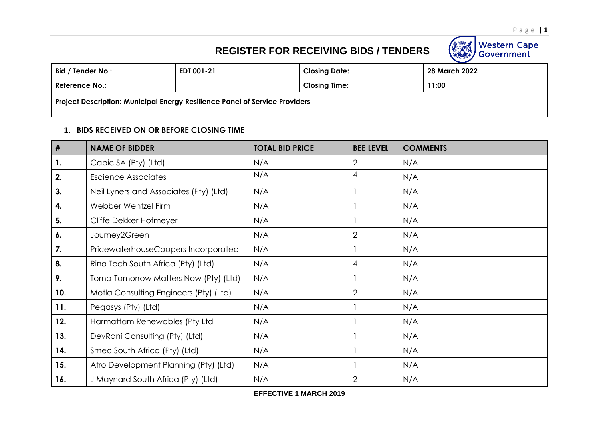Western Cape<br>Government

## **REGISTER FOR RECEIVING BIDS / TENDERS**

| Bid / Tender No.:                                                           | EDT 001-21 | <b>Closing Date:</b> | 28 March 2022 |  |  |
|-----------------------------------------------------------------------------|------------|----------------------|---------------|--|--|
| <b>Reference No.:</b>                                                       |            | <b>Closing Time:</b> | 11:00         |  |  |
| Project Description: Municipal Energy Resilience Panel of Service Providers |            |                      |               |  |  |

## **1. BIDS RECEIVED ON OR BEFORE CLOSING TIME**

| #   | <b>NAME OF BIDDER</b>                  | <b>TOTAL BID PRICE</b> | <b>BEE LEVEL</b> | <b>COMMENTS</b> |
|-----|----------------------------------------|------------------------|------------------|-----------------|
| 1.  | Capic SA (Pty) (Ltd)                   | N/A                    | $\overline{2}$   | N/A             |
| 2.  | <b>Escience Associates</b>             | N/A                    | 4                | N/A             |
| 3.  | Neil Lyners and Associates (Pty) (Ltd) | N/A                    |                  | N/A             |
| 4.  | Webber Wentzel Firm                    | N/A                    |                  | N/A             |
| 5.  | Cliffe Dekker Hofmeyer                 | N/A                    |                  | N/A             |
| 6.  | Journey2Green                          | N/A                    | $\overline{2}$   | N/A             |
| 7.  | PricewaterhouseCoopers Incorporated    | N/A                    |                  | N/A             |
| 8.  | Rina Tech South Africa (Pty) (Ltd)     | N/A                    | 4                | N/A             |
| 9.  | Toma-Tomorrow Matters Now (Pty) (Ltd)  | N/A                    |                  | N/A             |
| 10. | Motla Consulting Engineers (Pty) (Ltd) | N/A                    | $\mathbf{2}$     | N/A             |
| 11. | Pegasys (Pty) (Ltd)                    | N/A                    |                  | N/A             |
| 12. | Harmattam Renewables (Pty Ltd          | N/A                    |                  | N/A             |
| 13. | DevRani Consulting (Pty) (Ltd)         | N/A                    |                  | N/A             |
| 14. | Smec South Africa (Pty) (Ltd)          | N/A                    |                  | N/A             |
| 15. | Afro Development Planning (Pty) (Ltd)  | N/A                    |                  | N/A             |
| 16. | J Maynard South Africa (Pty) (Ltd)     | N/A                    | $\overline{2}$   | N/A             |

**EFFECTIVE 1 MARCH 2019**